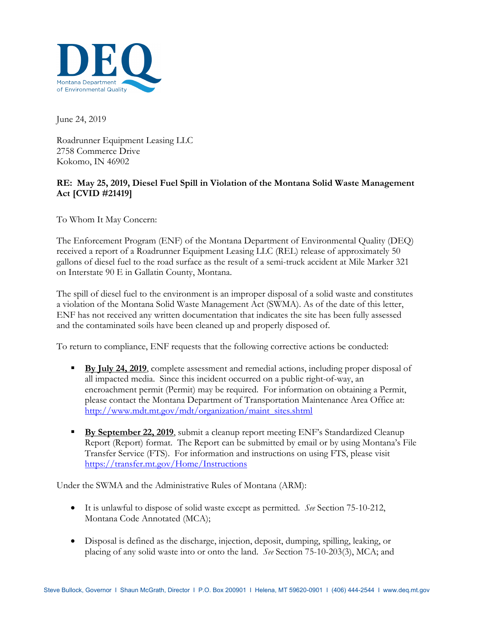

June 24, 2019

Roadrunner Equipment Leasing LLC 2758 Commerce Drive Kokomo, IN 46902

## **RE: May 25, 2019, Diesel Fuel Spill in Violation of the Montana Solid Waste Management Act [CVID #21419]**

To Whom It May Concern:

The Enforcement Program (ENF) of the Montana Department of Environmental Quality (DEQ) received a report of a Roadrunner Equipment Leasing LLC (REL) release of approximately 50 gallons of diesel fuel to the road surface as the result of a semi-truck accident at Mile Marker 321 on Interstate 90 E in Gallatin County, Montana.

The spill of diesel fuel to the environment is an improper disposal of a solid waste and constitutes a violation of the Montana Solid Waste Management Act (SWMA). As of the date of this letter, ENF has not received any written documentation that indicates the site has been fully assessed and the contaminated soils have been cleaned up and properly disposed of.

To return to compliance, ENF requests that the following corrective actions be conducted:

- **By July 24, 2019**, complete assessment and remedial actions, including proper disposal of all impacted media. Since this incident occurred on a public right-of-way, an encroachment permit (Permit) may be required. For information on obtaining a Permit, please contact the Montana Department of Transportation Maintenance Area Office at: [http://www.mdt.mt.gov/mdt/organization/maint\\_sites.shtml](http://www.mdt.mt.gov/mdt/organization/maint_sites.shtml)
- **By** September 22, 2019, submit a cleanup report meeting ENF's Standardized Cleanup Report (Report) format. The Report can be submitted by email or by using Montana's File Transfer Service (FTS). For information and instructions on using FTS, please visit <https://transfer.mt.gov/Home/Instructions>

Under the SWMA and the Administrative Rules of Montana (ARM):

- It is unlawful to dispose of solid waste except as permitted. *See* Section 75-10-212, Montana Code Annotated (MCA);
- Disposal is defined as the discharge, injection, deposit, dumping, spilling, leaking, or placing of any solid waste into or onto the land. *See* Section 75-10-203(3), MCA; and